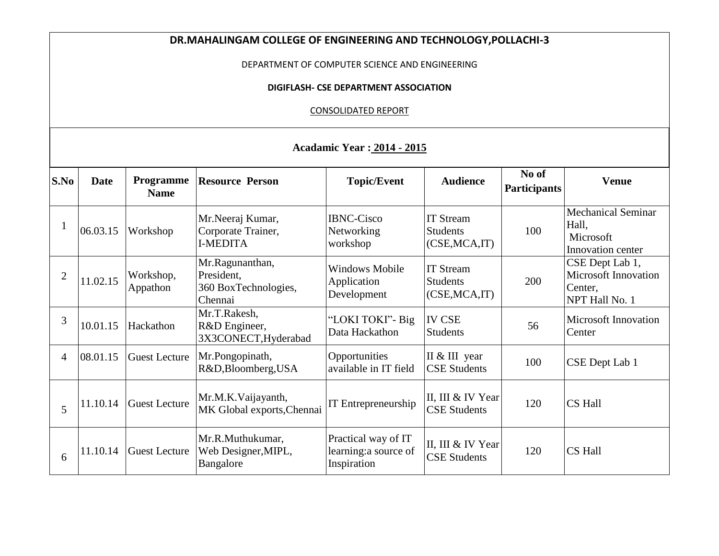| DR.MAHALINGAM COLLEGE OF ENGINEERING AND TECHNOLOGY, POLLACHI-3 |                                                                     |                          |                                                                  |                                                             |                                                       |                              |                                                                             |  |  |  |  |  |  |  |
|-----------------------------------------------------------------|---------------------------------------------------------------------|--------------------------|------------------------------------------------------------------|-------------------------------------------------------------|-------------------------------------------------------|------------------------------|-----------------------------------------------------------------------------|--|--|--|--|--|--|--|
| DEPARTMENT OF COMPUTER SCIENCE AND ENGINEERING                  |                                                                     |                          |                                                                  |                                                             |                                                       |                              |                                                                             |  |  |  |  |  |  |  |
|                                                                 | DIGIFLASH- CSE DEPARTMENT ASSOCIATION<br><b>CONSOLIDATED REPORT</b> |                          |                                                                  |                                                             |                                                       |                              |                                                                             |  |  |  |  |  |  |  |
|                                                                 |                                                                     |                          |                                                                  |                                                             |                                                       |                              |                                                                             |  |  |  |  |  |  |  |
|                                                                 |                                                                     |                          |                                                                  |                                                             |                                                       |                              |                                                                             |  |  |  |  |  |  |  |
| <b>Acadamic Year: 2014 - 2015</b>                               |                                                                     |                          |                                                                  |                                                             |                                                       |                              |                                                                             |  |  |  |  |  |  |  |
| S.No                                                            | <b>Date</b>                                                         | Programme<br><b>Name</b> | <b>Resource Person</b>                                           | <b>Topic/Event</b>                                          | <b>Audience</b>                                       | No of<br><b>Participants</b> | <b>Venue</b>                                                                |  |  |  |  |  |  |  |
| -1                                                              | 06.03.15                                                            | Workshop                 | Mr.Neeraj Kumar,<br>Corporate Trainer,<br><b>I-MEDITA</b>        | <b>IBNC-Cisco</b><br>Networking<br>workshop                 | <b>IT Stream</b><br><b>Students</b><br>(CSE, MCA, IT) | 100                          | <b>Mechanical Seminar</b><br>Hall,<br>Microsoft<br>Innovation center        |  |  |  |  |  |  |  |
| $\overline{2}$                                                  | 11.02.15                                                            | Workshop,<br>Appathon    | Mr.Ragunanthan,<br>President,<br>360 BoxTechnologies,<br>Chennai | <b>Windows Mobile</b><br>Application<br>Development         | <b>IT Stream</b><br><b>Students</b><br>(CSE, MCA, IT) | 200                          | CSE Dept Lab 1,<br><b>Microsoft Innovation</b><br>Center,<br>NPT Hall No. 1 |  |  |  |  |  |  |  |
| 3                                                               | 10.01.15                                                            | Hackathon                | Mr.T.Rakesh,<br>R&D Engineer,<br>3X3CONECT, Hyderabad            | "LOKI TOKI" - Big<br>Data Hackathon                         | <b>IV CSE</b><br><b>Students</b>                      | 56                           | <b>Microsoft Innovation</b><br>Center                                       |  |  |  |  |  |  |  |
| $\overline{4}$                                                  | 08.01.15                                                            | <b>Guest Lecture</b>     | Mr.Pongopinath,<br>R&D, Bloomberg, USA                           | Opportunities<br>available in IT field                      | II & III year<br><b>CSE Students</b>                  | 100                          | CSE Dept Lab 1                                                              |  |  |  |  |  |  |  |
| 5                                                               | 11.10.14                                                            | <b>Guest Lecture</b>     | Mr.M.K.Vaijayanth,<br>MK Global exports, Chennai                 | IT Entrepreneurship                                         | II, III & IV Year<br><b>CSE Students</b>              | 120                          | CS Hall                                                                     |  |  |  |  |  |  |  |
| 6                                                               | 11.10.14                                                            | <b>Guest Lecture</b>     | Mr.R.Muthukumar,<br>Web Designer, MIPL,<br>Bangalore             | Practical way of IT<br>learning: a source of<br>Inspiration | II, III & IV Year<br><b>CSE Students</b>              | 120                          | CS Hall                                                                     |  |  |  |  |  |  |  |